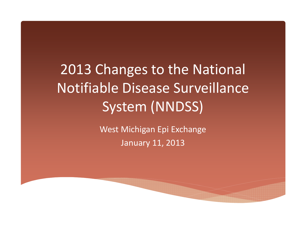## 2013 Changes to the National Notifiable Disease Surveillance System (NNDSS)

West Michigan Epi Exchange January 11, 2013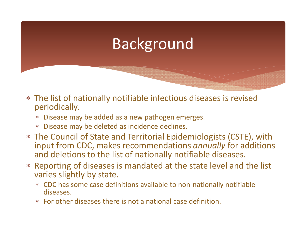### Background

- The list of nationally notifiable infectious diseases is revised periodically.
	- Disease may be added as <sup>a</sup> new pathogen emerges.
	- Disease may be deleted as incidence declines.
- The Council of State and Territorial Epidemiologists (CSTE), with input from CDC, makes recommendations *annually* for additions and deletions to the list of nationally notifiable diseases.
- ⊁ Reporting of diseases is mandated at the state level and the list varies slightly by state.
	- CDC has some case definitions available to non‐nationally notifiable diseases.
	- For other diseases there is not <sup>a</sup> national case definition.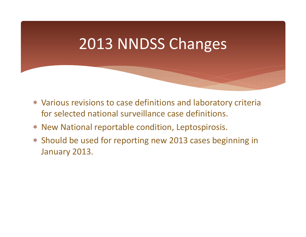### 2013 NNDSS Changes

- Various revisions to case definitions and laboratory criteria for selected national surveillance case definitions.
- New National reportable condition, Leptospirosis.
- Should be used for reporting new 2013 cases beginning in January 2013.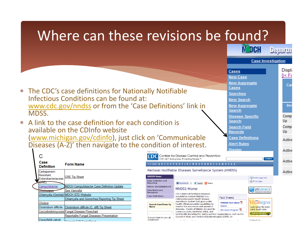#### Where can these revisions be found?IN DEH **Departs Case Investigation Displa** Cases ∏< Fi **New Case New Aggregate** Ca Cases The CDC's case definitions for Nationally Notifiable **Searches** Infectious Conditions can be found at: **New Search** www.cdc.gov/nndss or from the 'Case Definitions' link in Inv **New Aggregate** Search MDSS.Comp **Disease Specific** Search Up A link to the case definition for each condition is ∗ **Search Field** Comp available on the CDInfo website Up Records (www.michigan.gov/cdinfo), just click on 'Communicable **Case Definitions** Active **Alert Rules** Diseases (A‐Z)' then navigate to the condition of interest. Display Active **CONTROL** Centers for Disease Control and Prevention С CDC 24/7: Savina Lives, Protectina People.™ SEARCH Active Case A-Z Index **A B C D E F G H I J K L M N O P Q R S T U V W X Y Z # Form Name Definition** National Notifiable Diseases Surveillance System (NNDSS) Carbapenem-Active Resistant **NNDSS Home CRE Tip Sheet** Email page link Enterobacteriaceae Data Collection and Print page Reporting FRecommend 2 V Tweet H Share ampylobacte **MDCH Campylobacter Case Definition Update History and Background NNDSS Home** phConnect Downloads and See Varicella Resources CDC's National Notifiable Diseases Chlamydia (Genital) MDCH STD Website **Case Definitions** Surveillance System (NNDSS) is a **Fact Sheets** Chlamydia and Gonorrhea Reporting Tip Sheet multifaceted public health disease surveillance system that gives public **NNDSS Fact sheet** *Vitäl*signs Cholera health officials powerful capabilities to **Search Conditions By DNDHI** monitor the occurrence and spread of Learn about the latest Clostridium difficile Clostridium difficile (C. diff) Tip Sheet **Name** diseases. Facets of NNDSS are used by public health data. BioSense Program<sup>因</sup> Coccidioidomycosis Fungal Disease Flowchart numerous state, territorial, tribal, and Read CDC Vital Signs local health departments; and by partner organizations, such as the Reportable Fungal Diseases Presentation Council of State and Territorial Epidemiologists (CSTE), to (Leave blank to see all Creutzfeldt-Jakob conditions)  $\sim 10^{-11}$  km Contact Llei  $O_{2}$  and  $O_{1}$   $O_{2}$   $O_{2}$   $O_{2}$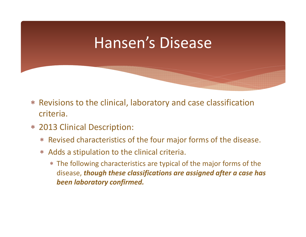### Hansen's Disease

- Revisions to the clinical, laboratory and case classification criteria.
- 2013 Clinical Description:
	- Revised characteristics of the four major forms of the disease.
	- Adds <sup>a</sup> stipulation to the clinical criteria.
		- The following characteristics are typical of the major forms of the disease, *though these classifications are assigned after <sup>a</sup> case has been laboratory confirmed.*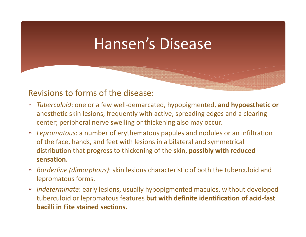### Hansen's Disease

#### Revisions to forms of the disease:

- *Tuberculoid*: one or <sup>a</sup> few well‐demarcated, hypopigmented, **and hypoesthetic or** anesthetic skin lesions, frequently with active, spreading edges and <sup>a</sup> clearing center; peripheral nerve swelling or thickening also may occur.
- *Lepromatous*: <sup>a</sup> number of erythematous papules and nodules or an infiltration of the face, hands, and feet with lesions in <sup>a</sup> bilateral and symmetrical distribution that progress to thickening of the skin, **possibly with reduced sensation.**
- $\ast$  *Borderline (dimorphous)*: skin lesions characteristic of both the tuberculoid and lepromatous forms.
- $*$  *Indeterminate*: early lesions, usually hypopigmented macules, without developed tuberculoid or lepromatous features **but with definite identification of acid‐fast bacilli in Fite stained sections.**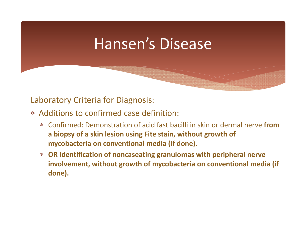### Hansen's Disease

#### Laboratory Criteria for Diagnosis:

- Additions to confirmed case definition:
	- Confirmed: Demonstration of acid fast bacilli in skin or dermal nerve **froma biopsy of <sup>a</sup> skin lesion using Fite stain, without growth of mycobacteria on conventional media (if done).**
	- **OR Identification of noncaseating granulomas with peripheral nerve involvement, without growth of mycobacteria on conventional media (if done).**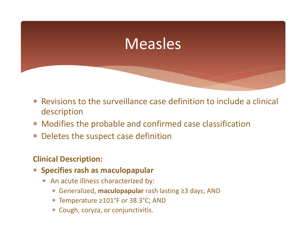

- Revisions to the surveillance case definition to include <sup>a</sup> clinical description
- Modifies the probable and confirmed case classification
- Deletes the suspect case definition

### **Clinical Description:**

- **Specifies rash as maculopapular**
	- An acute illness characterized by:
		- Generalized, **maculopapular** rash lasting ≥3 days; AND
		- Temperature ≥101°F or 38.3°C; AND
		- Cough, coryza, or conjunctivitis.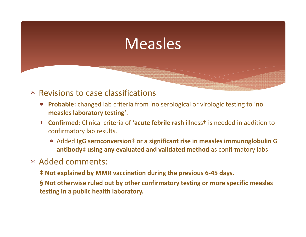### Measles

#### Revisions to case classifications

- **Probable:** changed lab criteria from 'no serological or virologic testing to '**no measles laboratory testing'**.
- $*$  **Confirmed**: Clinical criteria of '**acute febrile rash** illness† is needed in addition to confirmatory lab results.
	- Added **IgG seroconversion‡ or <sup>a</sup> significant rise in measles immunoglobulin G antibody‡ using any evaluated and validated method** as confirmatory labs

#### Added comments:

- **‡ Not explained by MMR vaccination during the previous 6‐45 days.**
- **§ Not otherwise ruled out by other confirmatory testing or more specific measles testing in <sup>a</sup> public health laboratory.**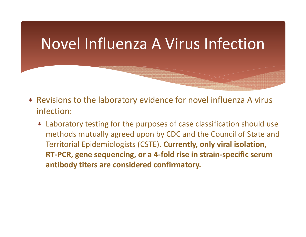### Novel Influenza A Virus Infection

- Revisions to the laboratory evidence for novel influenza A virus infection:
	- Laboratory testing for the purposes of case classification should use methods mutually agreed upon by CDC and the Council of State and Territorial Epidemiologists (CSTE). **Currently, only viral isolation, RT‐PCR, gene sequencing, or <sup>a</sup> 4‐fold rise in strain‐specific serum antibody titers are considered confirmatory.**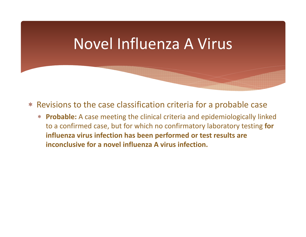### Novel Influenza A Virus

- Revisions to the case classification criteria for <sup>a</sup> probable case
	- **Probable:** A case meeting the clinical criteria and epidemiologically linked to <sup>a</sup> confirmed case, but for which no confirmatory laboratory testing **for influenza virus infection has been performed or test results are inconclusive for <sup>a</sup> novel influenza A virus infection.**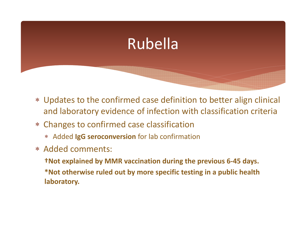### Rubella

- Updates to the confirmed case definition to better align clinical and laboratory evidence of infection with classification criteria
- Changes to confirmed case classification
	- Added **IgG seroconversion** for lab confirmation
- Added comments:
	- **†Not explained by MMR vaccination during the previous 6‐45 days. \*Not otherwise ruled out by more specific testing in <sup>a</sup> public health laboratory.**